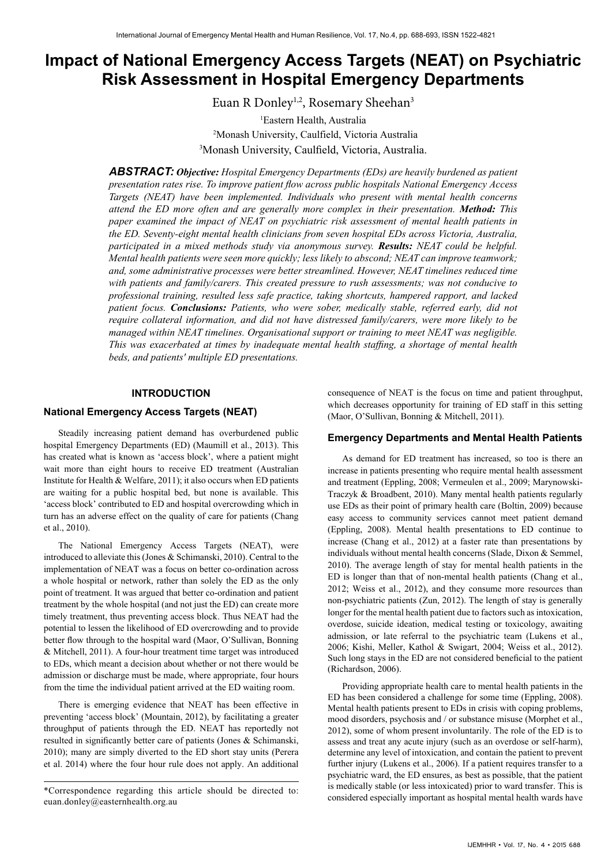# **Impact of National Emergency Access Targets (NEAT) on Psychiatric Risk Assessment in Hospital Emergency Departments**

Euan R Donley<sup>1,2</sup>, Rosemary Sheehan<sup>3</sup>

1 Eastern Health, Australia 2 Monash University, Caulfield, Victoria Australia 3 Monash University, Caulfield, Victoria, Australia.

*ABSTRACT: Objective: Hospital Emergency Departments (EDs) are heavily burdened as patient presentation rates rise. To improve patient flow across public hospitals National Emergency Access Targets (NEAT) have been implemented. Individuals who present with mental health concerns attend the ED more often and are generally more complex in their presentation. Method: This paper examined the impact of NEAT on psychiatric risk assessment of mental health patients in the ED. Seventy-eight mental health clinicians from seven hospital EDs across Victoria, Australia, participated in a mixed methods study via anonymous survey. Results: NEAT could be helpful. Mental health patients were seen more quickly; less likely to abscond; NEAT can improve teamwork; and, some administrative processes were better streamlined. However, NEAT timelines reduced time with patients and family/carers. This created pressure to rush assessments; was not conducive to professional training, resulted less safe practice, taking shortcuts, hampered rapport, and lacked patient focus. Conclusions: Patients, who were sober, medically stable, referred early, did not require collateral information, and did not have distressed family/carers, were more likely to be managed within NEAT timelines. Organisational support or training to meet NEAT was negligible. This was exacerbated at times by inadequate mental health staffing, a shortage of mental health beds, and patients' multiple ED presentations.*

## **INTRODUCTION**

## **National Emergency Access Targets (NEAT)**

Steadily increasing patient demand has overburdened public hospital Emergency Departments (ED) (Maumill et al., 2013). This has created what is known as 'access block', where a patient might wait more than eight hours to receive ED treatment (Australian Institute for Health & Welfare, 2011); it also occurs when ED patients are waiting for a public hospital bed, but none is available. This 'access block' contributed to ED and hospital overcrowding which in turn has an adverse effect on the quality of care for patients (Chang et al., 2010).

The National Emergency Access Targets (NEAT), were introduced to alleviate this (Jones & Schimanski, 2010). Central to the implementation of NEAT was a focus on better co-ordination across a whole hospital or network, rather than solely the ED as the only point of treatment. It was argued that better co-ordination and patient treatment by the whole hospital (and not just the ED) can create more timely treatment, thus preventing access block. Thus NEAT had the potential to lessen the likelihood of ED overcrowding and to provide better flow through to the hospital ward (Maor, O'Sullivan, Bonning & Mitchell, 2011). A four-hour treatment time target was introduced to EDs, which meant a decision about whether or not there would be admission or discharge must be made, where appropriate, four hours from the time the individual patient arrived at the ED waiting room.

There is emerging evidence that NEAT has been effective in preventing 'access block' (Mountain, 2012), by facilitating a greater throughput of patients through the ED. NEAT has reportedly not resulted in significantly better care of patients (Jones & Schimanski, 2010); many are simply diverted to the ED short stay units (Perera et al. 2014) where the four hour rule does not apply. An additional

\*Correspondence regarding this article should be directed to:<br>considered especially important as hospital mental health wards have<br>expecially important as hospital mental health wards have euan.donley@easternhealth.org.au

consequence of NEAT is the focus on time and patient throughput, which decreases opportunity for training of ED staff in this setting (Maor, O'Sullivan, Bonning & Mitchell, 2011).

#### **Emergency Departments and Mental Health Patients**

As demand for ED treatment has increased, so too is there an increase in patients presenting who require mental health assessment and treatment (Eppling, 2008; Vermeulen et al., 2009; Marynowski-Traczyk & Broadbent, 2010). Many mental health patients regularly use EDs as their point of primary health care (Boltin, 2009) because easy access to community services cannot meet patient demand (Eppling, 2008). Mental health presentations to ED continue to increase (Chang et al., 2012) at a faster rate than presentations by individuals without mental health concerns (Slade, Dixon & Semmel, 2010). The average length of stay for mental health patients in the ED is longer than that of non-mental health patients (Chang et al., 2012; Weiss et al., 2012), and they consume more resources than non-psychiatric patients (Zun, 2012). The length of stay is generally longer for the mental health patient due to factors such as intoxication, overdose, suicide ideation, medical testing or toxicology, awaiting admission, or late referral to the psychiatric team (Lukens et al., 2006; Kishi, Meller, Kathol & Swigart, 2004; Weiss et al., 2012). Such long stays in the ED are not considered beneficial to the patient (Richardson, 2006).

Providing appropriate health care to mental health patients in the ED has been considered a challenge for some time (Eppling, 2008). Mental health patients present to EDs in crisis with coping problems, mood disorders, psychosis and / or substance misuse (Morphet et al., 2012), some of whom present involuntarily. The role of the ED is to assess and treat any acute injury (such as an overdose or self-harm), determine any level of intoxication, and contain the patient to prevent further injury (Lukens et al., 2006). If a patient requires transfer to a psychiatric ward, the ED ensures, as best as possible, that the patient is medically stable (or less intoxicated) prior to ward transfer. This is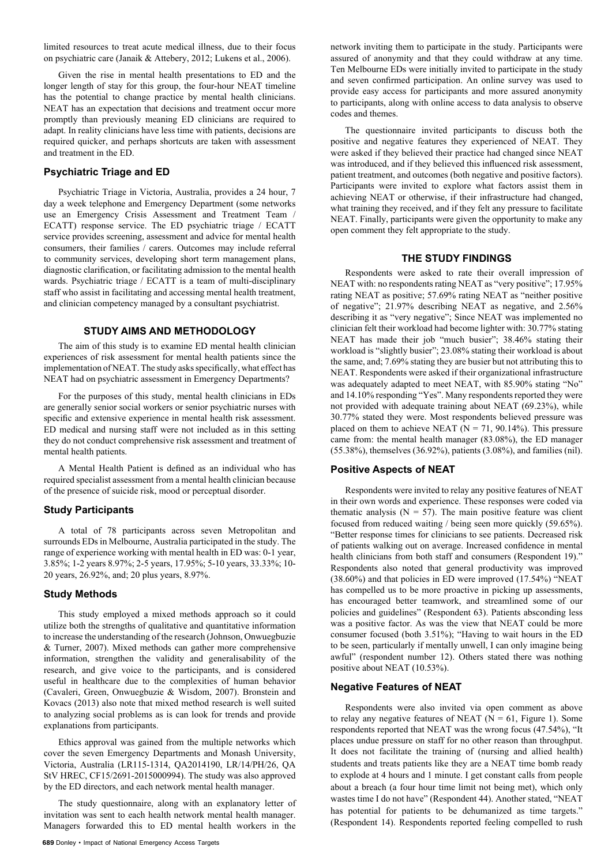limited resources to treat acute medical illness, due to their focus on psychiatric care (Janaik & Attebery, 2012; Lukens et al., 2006).

Given the rise in mental health presentations to ED and the longer length of stay for this group, the four-hour NEAT timeline has the potential to change practice by mental health clinicians. NEAT has an expectation that decisions and treatment occur more promptly than previously meaning ED clinicians are required to adapt. In reality clinicians have less time with patients, decisions are required quicker, and perhaps shortcuts are taken with assessment and treatment in the ED.

#### **Psychiatric Triage and ED**

Psychiatric Triage in Victoria, Australia, provides a 24 hour, 7 day a week telephone and Emergency Department (some networks use an Emergency Crisis Assessment and Treatment Team / ECATT) response service. The ED psychiatric triage / ECATT service provides screening, assessment and advice for mental health consumers, their families / carers. Outcomes may include referral to community services, developing short term management plans, diagnostic clarification, or facilitating admission to the mental health wards. Psychiatric triage / ECATT is a team of multi-disciplinary staff who assist in facilitating and accessing mental health treatment, and clinician competency managed by a consultant psychiatrist.

#### **STUDY AIMS AND METHODOLOGY**

The aim of this study is to examine ED mental health clinician experiences of risk assessment for mental health patients since the implementation of NEAT. The study asks specifically, what effect has NEAT had on psychiatric assessment in Emergency Departments?

For the purposes of this study, mental health clinicians in EDs are generally senior social workers or senior psychiatric nurses with specific and extensive experience in mental health risk assessment. ED medical and nursing staff were not included as in this setting they do not conduct comprehensive risk assessment and treatment of mental health patients.

A Mental Health Patient is defined as an individual who has required specialist assessment from a mental health clinician because of the presence of suicide risk, mood or perceptual disorder.

# **Study Participants**

A total of 78 participants across seven Metropolitan and surrounds EDs in Melbourne, Australia participated in the study. The range of experience working with mental health in ED was: 0-1 year, 3.85%; 1-2 years 8.97%; 2-5 years, 17.95%; 5-10 years, 33.33%; 10- 20 years, 26.92%, and; 20 plus years, 8.97%.

## **Study Methods**

This study employed a mixed methods approach so it could utilize both the strengths of qualitative and quantitative information to increase the understanding of the research (Johnson, Onwuegbuzie & Turner, 2007). Mixed methods can gather more comprehensive information, strengthen the validity and generalisability of the research, and give voice to the participants, and is considered useful in healthcare due to the complexities of human behavior (Cavaleri, Green, Onwuegbuzie & Wisdom, 2007). Bronstein and Kovacs (2013) also note that mixed method research is well suited to analyzing social problems as is can look for trends and provide explanations from participants.

Ethics approval was gained from the multiple networks which cover the seven Emergency Departments and Monash University, Victoria, Australia (LR115-1314, QA2014190, LR/14/PH/26, QA StV HREC, CF15/2691-2015000994). The study was also approved by the ED directors, and each network mental health manager.

The study questionnaire, along with an explanatory letter of invitation was sent to each health network mental health manager. Managers forwarded this to ED mental health workers in the

network inviting them to participate in the study. Participants were assured of anonymity and that they could withdraw at any time. Ten Melbourne EDs were initially invited to participate in the study and seven confirmed participation. An online survey was used to provide easy access for participants and more assured anonymity to participants, along with online access to data analysis to observe codes and themes.

The questionnaire invited participants to discuss both the positive and negative features they experienced of NEAT. They were asked if they believed their practice had changed since NEAT was introduced, and if they believed this influenced risk assessment, patient treatment, and outcomes (both negative and positive factors). Participants were invited to explore what factors assist them in achieving NEAT or otherwise, if their infrastructure had changed, what training they received, and if they felt any pressure to facilitate NEAT. Finally, participants were given the opportunity to make any open comment they felt appropriate to the study.

## **THE STUDY FINDINGS**

Respondents were asked to rate their overall impression of NEAT with: no respondents rating NEAT as "very positive"; 17.95% rating NEAT as positive; 57.69% rating NEAT as "neither positive of negative"; 21.97% describing NEAT as negative, and 2.56% describing it as "very negative"; Since NEAT was implemented no clinician felt their workload had become lighter with: 30.77% stating NEAT has made their job "much busier"; 38.46% stating their workload is "slightly busier"; 23.08% stating their workload is about the same, and; 7.69% stating they are busier but not attributing this to NEAT. Respondents were asked if their organizational infrastructure was adequately adapted to meet NEAT, with 85.90% stating "No" and 14.10% responding "Yes". Many respondents reported they were not provided with adequate training about NEAT (69.23%), while 30.77% stated they were. Most respondents believed pressure was placed on them to achieve NEAT ( $N = 71$ , 90.14%). This pressure came from: the mental health manager (83.08%), the ED manager (55.38%), themselves (36.92%), patients (3.08%), and families (nil).

## **Positive Aspects of NEAT**

Respondents were invited to relay any positive features of NEAT in their own words and experience. These responses were coded via thematic analysis ( $N = 57$ ). The main positive feature was client focused from reduced waiting / being seen more quickly (59.65%). "Better response times for clinicians to see patients. Decreased risk of patients walking out on average. Increased confidence in mental health clinicians from both staff and consumers (Respondent 19)." Respondents also noted that general productivity was improved (38.60%) and that policies in ED were improved (17.54%) "NEAT has compelled us to be more proactive in picking up assessments, has encouraged better teamwork, and streamlined some of our policies and guidelines" (Respondent 63). Patients absconding less was a positive factor. As was the view that NEAT could be more consumer focused (both 3.51%); "Having to wait hours in the ED to be seen, particularly if mentally unwell, I can only imagine being awful" (respondent number 12). Others stated there was nothing positive about NEAT (10.53%).

#### **Negative Features of NEAT**

Respondents were also invited via open comment as above to relay any negative features of NEAT ( $N = 61$ , Figure 1). Some respondents reported that NEAT was the wrong focus (47.54%), "It places undue pressure on staff for no other reason than throughput. It does not facilitate the training of (nursing and allied health) students and treats patients like they are a NEAT time bomb ready to explode at 4 hours and 1 minute. I get constant calls from people about a breach (a four hour time limit not being met), which only wastes time I do not have" (Respondent 44). Another stated, "NEAT has potential for patients to be dehumanized as time targets." (Respondent 14). Respondents reported feeling compelled to rush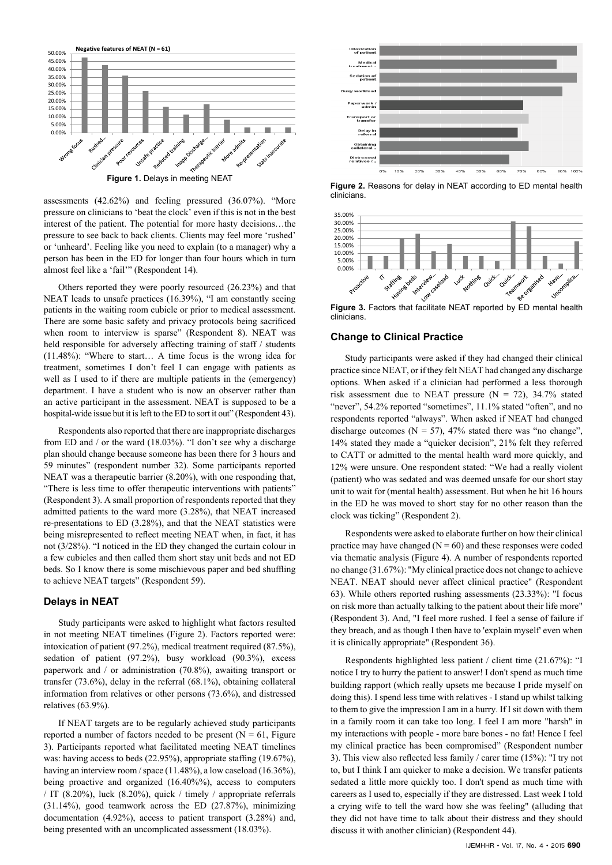

assessments (42.62%) and feeling pressured (36.07%). "More pressure on clinicians to 'beat the clock' even if this is not in the best interest of the patient. The potential for more hasty decisions…the pressure to see back to back clients. Clients may feel more 'rushed' or 'unheard'. Feeling like you need to explain (to a manager) why a person has been in the ED for longer than four hours which in turn almost feel like a 'fail'" (Respondent 14).

Others reported they were poorly resourced (26.23%) and that NEAT leads to unsafe practices (16.39%), "I am constantly seeing patients in the waiting room cubicle or prior to medical assessment. There are some basic safety and privacy protocols being sacrificed when room to interview is sparse" (Respondent 8). NEAT was held responsible for adversely affecting training of staff / students (11.48%): "Where to start… A time focus is the wrong idea for treatment, sometimes I don't feel I can engage with patients as well as I used to if there are multiple patients in the (emergency) department. I have a student who is now an observer rather than an active participant in the assessment. NEAT is supposed to be a hospital-wide issue but it is left to the ED to sort it out" (Respondent 43).

Respondents also reported that there are inappropriate discharges from ED and / or the ward (18.03%). "I don't see why a discharge plan should change because someone has been there for 3 hours and 59 minutes" (respondent number 32). Some participants reported NEAT was a therapeutic barrier (8.20%), with one responding that, "There is less time to offer therapeutic interventions with patients" (Respondent 3). A small proportion of respondents reported that they admitted patients to the ward more (3.28%), that NEAT increased re-presentations to ED (3.28%), and that the NEAT statistics were being misrepresented to reflect meeting NEAT when, in fact, it has not (3/28%). "I noticed in the ED they changed the curtain colour in a few cubicles and then called them short stay unit beds and not ED beds. So I know there is some mischievous paper and bed shuffling to achieve NEAT targets" (Respondent 59).

#### **Delays in NEAT**

Study participants were asked to highlight what factors resulted in not meeting NEAT timelines (Figure 2). Factors reported were: intoxication of patient (97.2%), medical treatment required (87.5%), sedation of patient (97.2%), busy workload (90.3%), excess paperwork and / or administration (70.8%), awaiting transport or transfer (73.6%), delay in the referral (68.1%), obtaining collateral information from relatives or other persons (73.6%), and distressed relatives (63.9%).

If NEAT targets are to be regularly achieved study participants reported a number of factors needed to be present  $(N = 61,$  Figure 3). Participants reported what facilitated meeting NEAT timelines was: having access to beds (22.95%), appropriate staffing (19.67%), having an interview room / space (11.48%), a low caseload (16.36%), being proactive and organized (16.40%%), access to computers / IT (8.20%), luck (8.20%), quick / timely / appropriate referrals (31.14%), good teamwork across the ED (27.87%), minimizing documentation (4.92%), access to patient transport (3.28%) and, being presented with an uncomplicated assessment (18.03%).



**Figure 2.** Reasons for delay in NEAT according to ED mental health clinicians.



clinicians.

#### **Change to Clinical Practice**

Study participants were asked if they had changed their clinical practice since NEAT, or if they felt NEAT had changed any discharge options. When asked if a clinician had performed a less thorough risk assessment due to NEAT pressure  $(N = 72)$ , 34.7% stated "never", 54.2% reported "sometimes", 11.1% stated "often", and no respondents reported "always". When asked if NEAT had changed discharge outcomes ( $N = 57$ ), 47% stated there was "no change", 14% stated they made a "quicker decision", 21% felt they referred to CATT or admitted to the mental health ward more quickly, and 12% were unsure. One respondent stated: "We had a really violent (patient) who was sedated and was deemed unsafe for our short stay unit to wait for (mental health) assessment. But when he hit 16 hours in the ED he was moved to short stay for no other reason than the clock was ticking" (Respondent 2).

Respondents were asked to elaborate further on how their clinical practice may have changed  $(N = 60)$  and these responses were coded via thematic analysis (Figure 4). A number of respondents reported no change (31.67%): "My clinical practice does not change to achieve NEAT. NEAT should never affect clinical practice" (Respondent 63). While others reported rushing assessments (23.33%): "I focus on risk more than actually talking to the patient about their life more" (Respondent 3). And, "I feel more rushed. I feel a sense of failure if they breach, and as though I then have to 'explain myself' even when it is clinically appropriate" (Respondent 36).

Respondents highlighted less patient / client time (21.67%): "I notice I try to hurry the patient to answer! I don't spend as much time building rapport (which really upsets me because I pride myself on doing this). I spend less time with relatives - I stand up whilst talking to them to give the impression I am in a hurry. If I sit down with them in a family room it can take too long. I feel I am more "harsh" in my interactions with people - more bare bones - no fat! Hence I feel my clinical practice has been compromised" (Respondent number 3). This view also reflected less family / carer time (15%): "I try not to, but I think I am quicker to make a decision. We transfer patients sedated a little more quickly too. I don't spend as much time with careers as I used to, especially if they are distressed. Last week I told a crying wife to tell the ward how she was feeling" (alluding that they did not have time to talk about their distress and they should discuss it with another clinician) (Respondent 44).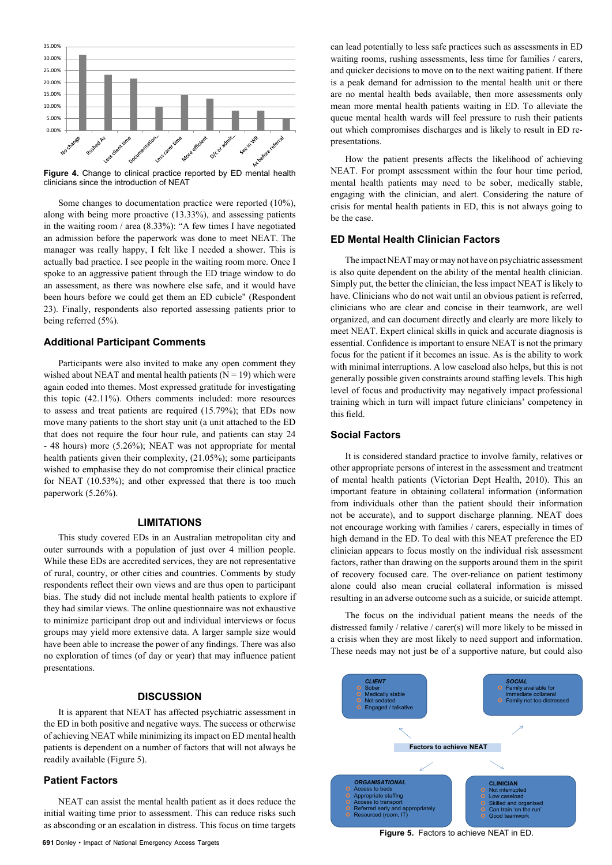

**Figure 4.** Change to clinical practice reported by ED mental health clinicians since the introduction of NEAT

Some changes to documentation practice were reported (10%), along with being more proactive (13.33%), and assessing patients in the waiting room / area (8.33%): "A few times I have negotiated an admission before the paperwork was done to meet NEAT. The manager was really happy, I felt like I needed a shower. This is actually bad practice. I see people in the waiting room more. Once I spoke to an aggressive patient through the ED triage window to do an assessment, as there was nowhere else safe, and it would have been hours before we could get them an ED cubicle" (Respondent 23). Finally, respondents also reported assessing patients prior to being referred (5%).

## **Additional Participant Comments**

Participants were also invited to make any open comment they wished about NEAT and mental health patients  $(N = 19)$  which were again coded into themes. Most expressed gratitude for investigating this topic (42.11%). Others comments included: more resources to assess and treat patients are required (15.79%); that EDs now move many patients to the short stay unit (a unit attached to the ED that does not require the four hour rule, and patients can stay 24 - 48 hours) more (5.26%); NEAT was not appropriate for mental health patients given their complexity, (21.05%); some participants wished to emphasise they do not compromise their clinical practice for NEAT (10.53%); and other expressed that there is too much paperwork (5.26%).

#### **LIMITATIONS**

This study covered EDs in an Australian metropolitan city and outer surrounds with a population of just over 4 million people. While these EDs are accredited services, they are not representative of rural, country, or other cities and countries. Comments by study respondents reflect their own views and are thus open to participant bias. The study did not include mental health patients to explore if they had similar views. The online questionnaire was not exhaustive to minimize participant drop out and individual interviews or focus groups may yield more extensive data. A larger sample size would have been able to increase the power of any findings. There was also no exploration of times (of day or year) that may influence patient presentations.

## **DISCUSSION**

It is apparent that NEAT has affected psychiatric assessment in the ED in both positive and negative ways. The success or otherwise of achieving NEAT while minimizing its impact on ED mental health patients is dependent on a number of factors that will not always be readily available (Figure 5).

## **Patient Factors**

NEAT can assist the mental health patient as it does reduce the initial waiting time prior to assessment. This can reduce risks such as absconding or an escalation in distress. This focus on time targets can lead potentially to less safe practices such as assessments in ED waiting rooms, rushing assessments, less time for families / carers, and quicker decisions to move on to the next waiting patient. If there is a peak demand for admission to the mental health unit or there are no mental health beds available, then more assessments only mean more mental health patients waiting in ED. To alleviate the queue mental health wards will feel pressure to rush their patients out which compromises discharges and is likely to result in ED representations.

How the patient presents affects the likelihood of achieving NEAT. For prompt assessment within the four hour time period, mental health patients may need to be sober, medically stable, engaging with the clinician, and alert. Considering the nature of crisis for mental health patients in ED, this is not always going to be the case.

#### **ED Mental Health Clinician Factors**

The impact NEAT may or may not have on psychiatric assessment is also quite dependent on the ability of the mental health clinician. Simply put, the better the clinician, the less impact NEAT is likely to have. Clinicians who do not wait until an obvious patient is referred, clinicians who are clear and concise in their teamwork, are well organized, and can document directly and clearly are more likely to meet NEAT. Expert clinical skills in quick and accurate diagnosis is essential. Confidence is important to ensure NEAT is not the primary focus for the patient if it becomes an issue. As is the ability to work with minimal interruptions. A low caseload also helps, but this is not generally possible given constraints around staffing levels. This high level of focus and productivity may negatively impact professional training which in turn will impact future clinicians' competency in this field.

# **Social Factors**

It is considered standard practice to involve family, relatives or other appropriate persons of interest in the assessment and treatment of mental health patients (Victorian Dept Health, 2010). This an important feature in obtaining collateral information (information from individuals other than the patient should their information not be accurate), and to support discharge planning. NEAT does not encourage working with families / carers, especially in times of high demand in the ED. To deal with this NEAT preference the ED clinician appears to focus mostly on the individual risk assessment factors, rather than drawing on the supports around them in the spirit of recovery focused care. The over-reliance on patient testimony alone could also mean crucial collateral information is missed resulting in an adverse outcome such as a suicide, or suicide attempt.

The focus on the individual patient means the needs of the distressed family / relative / carer(s) will more likely to be missed in a crisis when they are most likely to need support and information. These needs may not just be of a supportive nature, but could also



**Figure 5.** Factors to achieve NEAT in ED.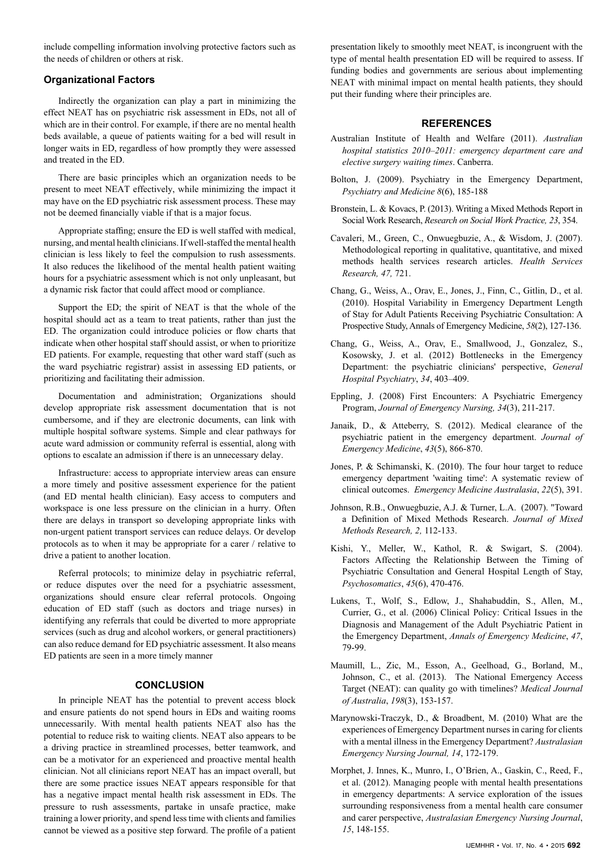include compelling information involving protective factors such as the needs of children or others at risk.

### **Organizational Factors**

Indirectly the organization can play a part in minimizing the effect NEAT has on psychiatric risk assessment in EDs, not all of which are in their control. For example, if there are no mental health beds available, a queue of patients waiting for a bed will result in longer waits in ED, regardless of how promptly they were assessed and treated in the ED.

There are basic principles which an organization needs to be present to meet NEAT effectively, while minimizing the impact it may have on the ED psychiatric risk assessment process. These may not be deemed financially viable if that is a major focus.

Appropriate staffing; ensure the ED is well staffed with medical, nursing, and mental health clinicians. If well-staffed the mental health clinician is less likely to feel the compulsion to rush assessments. It also reduces the likelihood of the mental health patient waiting hours for a psychiatric assessment which is not only unpleasant, but a dynamic risk factor that could affect mood or compliance.

Support the ED; the spirit of NEAT is that the whole of the hospital should act as a team to treat patients, rather than just the ED. The organization could introduce policies or flow charts that indicate when other hospital staff should assist, or when to prioritize ED patients. For example, requesting that other ward staff (such as the ward psychiatric registrar) assist in assessing ED patients, or prioritizing and facilitating their admission.

Documentation and administration; Organizations should develop appropriate risk assessment documentation that is not cumbersome, and if they are electronic documents, can link with multiple hospital software systems. Simple and clear pathways for acute ward admission or community referral is essential, along with options to escalate an admission if there is an unnecessary delay.

Infrastructure: access to appropriate interview areas can ensure a more timely and positive assessment experience for the patient (and ED mental health clinician). Easy access to computers and workspace is one less pressure on the clinician in a hurry. Often there are delays in transport so developing appropriate links with non-urgent patient transport services can reduce delays. Or develop protocols as to when it may be appropriate for a carer / relative to drive a patient to another location.

Referral protocols; to minimize delay in psychiatric referral, or reduce disputes over the need for a psychiatric assessment, organizations should ensure clear referral protocols. Ongoing education of ED staff (such as doctors and triage nurses) in identifying any referrals that could be diverted to more appropriate services (such as drug and alcohol workers, or general practitioners) can also reduce demand for ED psychiatric assessment. It also means ED patients are seen in a more timely manner

## **CONCLUSION**

In principle NEAT has the potential to prevent access block and ensure patients do not spend hours in EDs and waiting rooms unnecessarily. With mental health patients NEAT also has the potential to reduce risk to waiting clients. NEAT also appears to be a driving practice in streamlined processes, better teamwork, and can be a motivator for an experienced and proactive mental health clinician. Not all clinicians report NEAT has an impact overall, but there are some practice issues NEAT appears responsible for that has a negative impact mental health risk assessment in EDs. The pressure to rush assessments, partake in unsafe practice, make training a lower priority, and spend less time with clients and families cannot be viewed as a positive step forward. The profile of a patient

presentation likely to smoothly meet NEAT, is incongruent with the type of mental health presentation ED will be required to assess. If funding bodies and governments are serious about implementing NEAT with minimal impact on mental health patients, they should put their funding where their principles are.

# **REFERENCES**

- Australian Institute of Health and Welfare (2011). *Australian hospital statistics 2010–2011: emergency department care and elective surgery waiting times*. Canberra.
- Bolton, J. (2009). Psychiatry in the Emergency Department, *Psychiatry and Medicine 8*(6), 185-188
- Bronstein, L. & Kovacs, P. (2013). Writing a Mixed Methods Report in Social Work Research, *Research on Social Work Practice, 23*, 354.
- Cavaleri, M., Green, C., Onwuegbuzie, A., & Wisdom, J. (2007). Methodological reporting in qualitative, quantitative, and mixed methods health services research articles. *Health Services Research, 47,* 721.
- Chang, G., Weiss, A., Orav, E., Jones, J., Finn, C., Gitlin, D., et al. (2010). Hospital Variability in Emergency Department Length of Stay for Adult Patients Receiving Psychiatric Consultation: A Prospective Study, Annals of Emergency Medicine, *58*(2), 127-136.
- Chang, G., Weiss, A., Orav, E., Smallwood, J., Gonzalez, S., Kosowsky, J. et al. (2012) Bottlenecks in the Emergency Department: the psychiatric clinicians' perspective, *General Hospital Psychiatry*, *34*, 403–409.
- Eppling, J. (2008) First Encounters: A Psychiatric Emergency Program, *Journal of Emergency Nursing, 34*(3), 211-217.
- Janaik, D., & Atteberry, S. (2012). Medical clearance of the psychiatric patient in the emergency department. *Journal of Emergency Medicine*, *43*(5), 866-870.
- Jones, P. & Schimanski, K. (2010). The four hour target to reduce emergency department 'waiting time': A systematic review of clinical outcomes. *Emergency Medicine Australasia*, *22*(5), 391.
- Johnson, R.B., Onwuegbuzie, A.J. & Turner, L.A. (2007). "Toward a Definition of Mixed Methods Research. *Journal of Mixed Methods Research, 2,* 112-133.
- Kishi, Y., Meller, W., Kathol, R. & Swigart, S. (2004). Factors Affecting the Relationship Between the Timing of Psychiatric Consultation and General Hospital Length of Stay, *Psychosomatics*, *45*(6), 470-476.
- Lukens, T., Wolf, S., Edlow, J., Shahabuddin, S., Allen, M., Currier, G., et al. (2006) Clinical Policy: Critical Issues in the Diagnosis and Management of the Adult Psychiatric Patient in the Emergency Department, *Annals of Emergency Medicine*, *47*, 79-99.
- Maumill, L., Zic, M., Esson, A., Geelhoad, G., Borland, M., Johnson, C., et al. (2013). The National Emergency Access Target (NEAT): can quality go with timelines? *Medical Journal of Australia*, *198*(3), 153-157.
- Marynowski-Traczyk, D., & Broadbent, M. (2010) What are the experiences of Emergency Department nurses in caring for clients with a mental illness in the Emergency Department? *Australasian Emergency Nursing Journal, 14*, 172-179.
- Morphet, J. Innes, K., Munro, I., O'Brien, A., Gaskin, C., Reed, F., et al. (2012). Managing people with mental health presentations in emergency departments: A service exploration of the issues surrounding responsiveness from a mental health care consumer and carer perspective, *Australasian Emergency Nursing Journal*, *15*, 148-155.